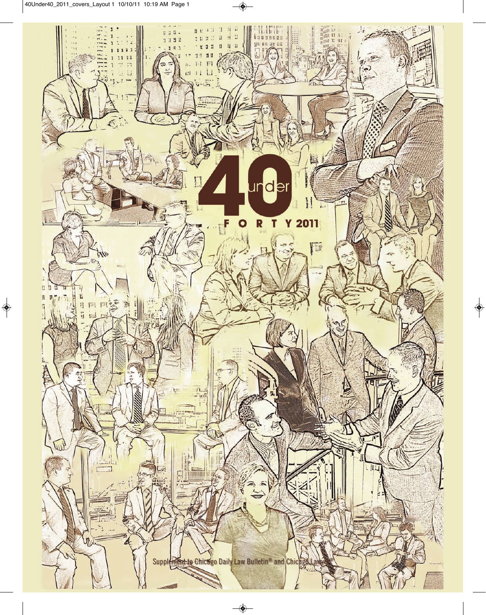